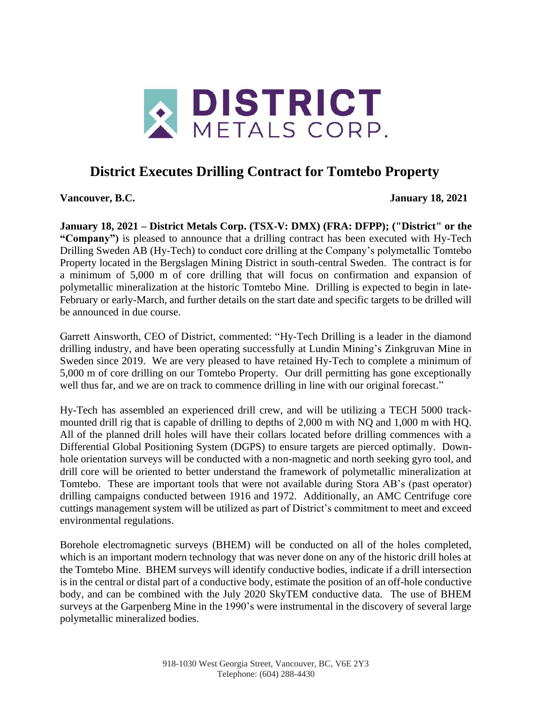

## **District Executes Drilling Contract for Tomtebo Property**

**Vancouver, B.C. January 18, 2021**

**January 18, 2021 – District Metals Corp. (TSX-V: DMX) (FRA: DFPP); ("District" or the "Company")** is pleased to announce that a drilling contract has been executed with Hy-Tech Drilling Sweden AB (Hy-Tech) to conduct core drilling at the Company's polymetallic Tomtebo Property located in the Bergslagen Mining District in south-central Sweden. The contract is for a minimum of 5,000 m of core drilling that will focus on confirmation and expansion of polymetallic mineralization at the historic Tomtebo Mine. Drilling is expected to begin in late-February or early-March, and further details on the start date and specific targets to be drilled will be announced in due course.

Garrett Ainsworth, CEO of District, commented: "Hy-Tech Drilling is a leader in the diamond drilling industry, and have been operating successfully at Lundin Mining's Zinkgruvan Mine in Sweden since 2019. We are very pleased to have retained Hy-Tech to complete a minimum of 5,000 m of core drilling on our Tomtebo Property. Our drill permitting has gone exceptionally well thus far, and we are on track to commence drilling in line with our original forecast."

Hy-Tech has assembled an experienced drill crew, and will be utilizing a TECH 5000 trackmounted drill rig that is capable of drilling to depths of 2,000 m with NQ and 1,000 m with HQ. All of the planned drill holes will have their collars located before drilling commences with a Differential Global Positioning System (DGPS) to ensure targets are pierced optimally. Downhole orientation surveys will be conducted with a non-magnetic and north seeking gyro tool, and drill core will be oriented to better understand the framework of polymetallic mineralization at Tomtebo. These are important tools that were not available during Stora AB's (past operator) drilling campaigns conducted between 1916 and 1972. Additionally, an AMC Centrifuge core cuttings management system will be utilized as part of District's commitment to meet and exceed environmental regulations.

Borehole electromagnetic surveys (BHEM) will be conducted on all of the holes completed, which is an important modern technology that was never done on any of the historic drill holes at the Tomtebo Mine. BHEM surveys will identify conductive bodies, indicate if a drill intersection is in the central or distal part of a conductive body, estimate the position of an off-hole conductive body, and can be combined with the July 2020 SkyTEM conductive data. The use of BHEM surveys at the Garpenberg Mine in the 1990's were instrumental in the discovery of several large polymetallic mineralized bodies.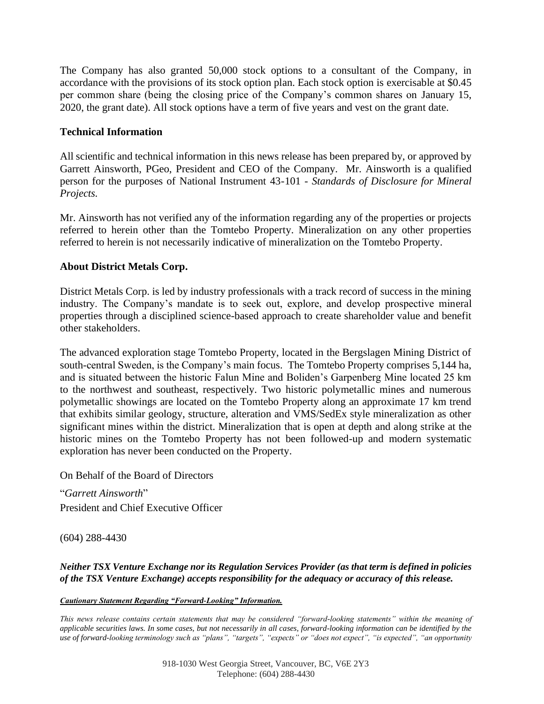The Company has also granted 50,000 stock options to a consultant of the Company, in accordance with the provisions of its stock option plan. Each stock option is exercisable at \$0.45 per common share (being the closing price of the Company's common shares on January 15, 2020, the grant date). All stock options have a term of five years and vest on the grant date.

## **Technical Information**

All scientific and technical information in this news release has been prepared by, or approved by Garrett Ainsworth, PGeo, President and CEO of the Company. Mr. Ainsworth is a qualified person for the purposes of National Instrument 43-101 - *Standards of Disclosure for Mineral Projects.*

Mr. Ainsworth has not verified any of the information regarding any of the properties or projects referred to herein other than the Tomtebo Property. Mineralization on any other properties referred to herein is not necessarily indicative of mineralization on the Tomtebo Property.

## **About District Metals Corp.**

District Metals Corp. is led by industry professionals with a track record of success in the mining industry. The Company's mandate is to seek out, explore, and develop prospective mineral properties through a disciplined science-based approach to create shareholder value and benefit other stakeholders.

The advanced exploration stage Tomtebo Property, located in the Bergslagen Mining District of south-central Sweden, is the Company's main focus. The Tomtebo Property comprises 5,144 ha, and is situated between the historic Falun Mine and Boliden's Garpenberg Mine located 25 km to the northwest and southeast, respectively. Two historic polymetallic mines and numerous polymetallic showings are located on the Tomtebo Property along an approximate 17 km trend that exhibits similar geology, structure, alteration and VMS/SedEx style mineralization as other significant mines within the district. Mineralization that is open at depth and along strike at the historic mines on the Tomtebo Property has not been followed-up and modern systematic exploration has never been conducted on the Property.

On Behalf of the Board of Directors

"*Garrett Ainsworth*" President and Chief Executive Officer

(604) 288-4430

*Neither TSX Venture Exchange nor its Regulation Services Provider (as that term is defined in policies of the TSX Venture Exchange) accepts responsibility for the adequacy or accuracy of this release.*

*Cautionary Statement Regarding "Forward-Looking" Information.* 

*This news release contains certain statements that may be considered "forward-looking statements" within the meaning of applicable securities laws. In some cases, but not necessarily in all cases, forward-looking information can be identified by the use of forward-looking terminology such as "plans", "targets", "expects" or "does not expect", "is expected", "an opportunity*